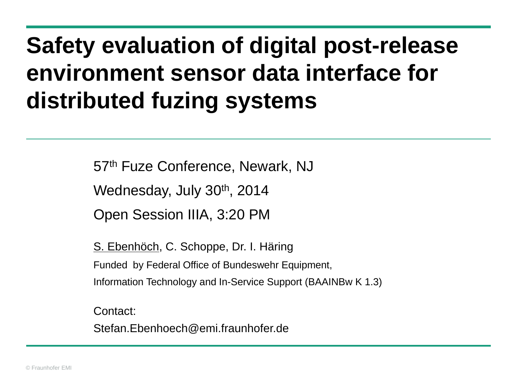# **Safety evaluation of digital post-release environment sensor data interface for distributed fuzing systems**

57th Fuze Conference, Newark, NJ

Wednesday, July 30<sup>th</sup>, 2014

Open Session IIIA, 3:20 PM

S. Ebenhöch, C. Schoppe, Dr. I. Häring Funded by Federal Office of Bundeswehr Equipment, Information Technology and In-Service Support (BAAINBw K 1.3)

Contact:

Stefan.Ebenhoech@emi.fraunhofer.de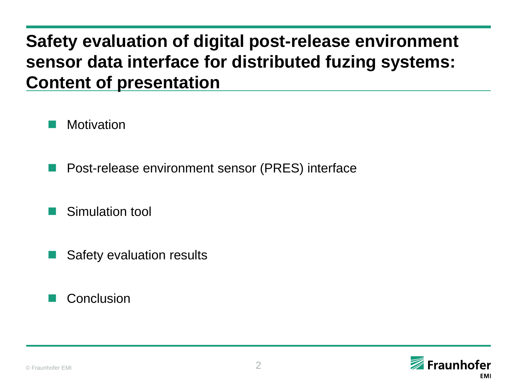## **Safety evaluation of digital post-release environment sensor data interface for distributed fuzing systems: Content of presentation**

**Motivation** 

- Post-release environment sensor (PRES) interface
- **Simulation tool**
- Safety evaluation results

### **Conclusion**

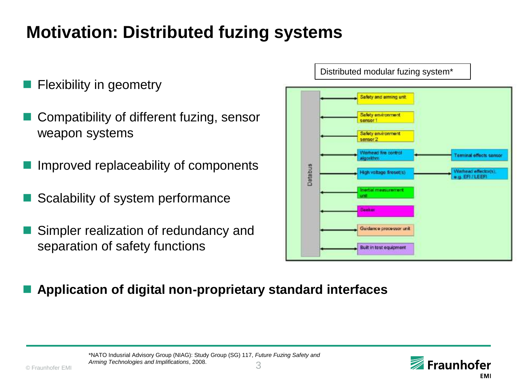## **Motivation: Distributed fuzing systems**

- Flexibility in geometry
- Compatibility of different fuzing, sensor and the computation of the control of the sensor of the control of the control of the control of the control of the control of the control of the control of the control of the cont weapon systems
- Improved replaceability of components
- Scalability of system performance
- Simpler realization of redundancy and separation of safety functions



**Application of digital non-proprietary standard interfaces**

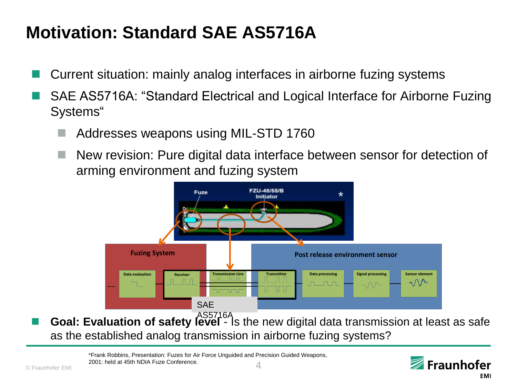## **Motivation: Standard SAE AS5716A**

- Current situation: mainly analog interfaces in airborne fuzing systems
- SAE AS5716A: "Standard Electrical and Logical Interface for Airborne Fuzing Systems"
	- Addresses weapons using MIL-STD 1760
	- New revision: Pure digital data interface between sensor for detection of arming environment and fuzing system



**Goal: Evaluation of safety level** - Is the new digital data transmission at least as safe as the established analog transmission in airborne fuzing systems?

**2001: held at 45th NDIA Fuze Conference.**<br>© Fraunhofer EMI \*Frank Robbins, Presentation: Fuzes for Air Force Unguided and Precision Guided Weapons,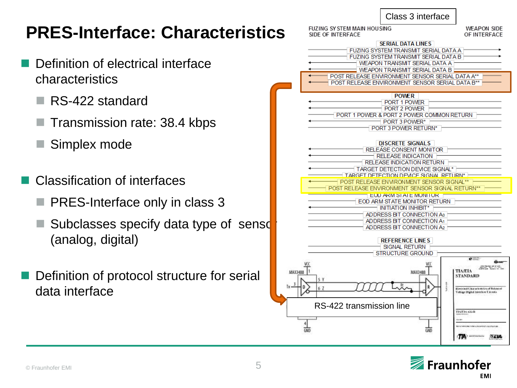|  | Class 3 interface |
|--|-------------------|
|--|-------------------|

## **PRES-Interface: Characteristic**

- Definition of electrical interface characteristics
	- RS-422 standard
	- Transmission rate: 38.4 kbps
	- Simplex mode
- Classification of interfaces
	- PRES-Interface only in class 3
	- Subclasses specify data type of sensor (analog, digital)
- Definition of protocol structure for serial data interface

|                | <b>FUZING SY STEM MAIN HOUSING</b>                                                                                                                                                                                                                                                                                                                                                                                                                                                                                                                                                                                                                                                                                                                             | <b>WEAPON SIDE</b>                                                                                   |
|----------------|----------------------------------------------------------------------------------------------------------------------------------------------------------------------------------------------------------------------------------------------------------------------------------------------------------------------------------------------------------------------------------------------------------------------------------------------------------------------------------------------------------------------------------------------------------------------------------------------------------------------------------------------------------------------------------------------------------------------------------------------------------------|------------------------------------------------------------------------------------------------------|
|                | SIDE OF INTERFACE                                                                                                                                                                                                                                                                                                                                                                                                                                                                                                                                                                                                                                                                                                                                              | OF INTERFACE                                                                                         |
|                | <b>SERIAL DATA LINES</b><br>FUZING SYSTEM TRANSMIT SERIAL DATA A<br>FUZING SYSTEM TRANSMIT SERIAL DATA B<br>WEAPON TRANSMIT SERIAL DATA A H<br>$\pm$ WEAPON TRANSMIT SERIAL DATA B $\pm$                                                                                                                                                                                                                                                                                                                                                                                                                                                                                                                                                                       |                                                                                                      |
|                | POST RELEASE ENVIRONMENT SENSOR SERIAL DATA A**<br>POST RELEASE ENVIRONMENT SENSOR SERIAL DATA B**                                                                                                                                                                                                                                                                                                                                                                                                                                                                                                                                                                                                                                                             |                                                                                                      |
| <b>MAX3488</b> | <b>POWER</b><br>PORT 1 POWER<br>PORT 2 POWER<br>PORT 1 POWER & PORT 2 POWER COMMON RETURN<br>PORT 3 POWER*<br>PORT 3 POWER RETURN*<br><b>DISCRETE SIGNALS</b><br>RELEASE CONSENT MONITOR<br>∃ RELEASE INDICATION ∃<br>RELEASE INDICATION RETURN<br>TARGET DETECTION DEVICE SIGNAL*<br>TARGET DETECTION DEVICE SIGNAL RETURN* F<br>POST RELEASE ENVIRONMENT SENSOR SIGNAL**<br>POST RELEASE ENVIRONMENT SENSOR SIGNAL RETURN**<br>EOD ARM STATE MONITOR F<br>EOD ARM STATE MONITOR RETURN<br>$\overline{\phantom{a}}$ initiation inhibit* $\overline{\phantom{a}}$<br>ADDRESS BIT CONNECTION AO<br>ADDRESS BIT CONNECTION A1<br>ADDRESS BIT CONNECTION A2 1<br><b>REFERENCE LINES</b><br>SIGNAL RETURN<br><b>STRUCTURE GROUND</b><br><b>RREXAM</b><br>5 Y<br>62 | TIA/EIA<br><b>STANDARD</b><br>Elizabeth Characteristics of Bobs<br>Voltige Digital bornfore Circuits |
|                | RS-422 transmission line                                                                                                                                                                                                                                                                                                                                                                                                                                                                                                                                                                                                                                                                                                                                       | TIATI 0.425 B<br>PROJECTIVE ANALYSIS                                                                 |
|                |                                                                                                                                                                                                                                                                                                                                                                                                                                                                                                                                                                                                                                                                                                                                                                | ாக<br><b>SEM</b>                                                                                     |

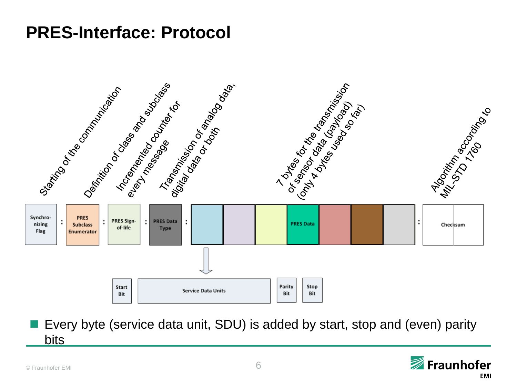## **PRES-Interface: Protocol**



 Every byte (service data unit, SDU) is added by start, stop and (even) parity bits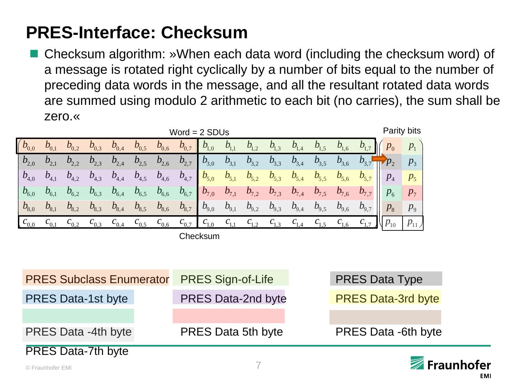## **PRES-Interface: Checksum**

 Checksum algorithm: »When each data word (including the checksum word) of a message is rotated right cyclically by a number of bits equal to the number of preceding data words in the message, and all the resultant rotated data words are summed using modulo 2 arithmetic to each bit (no carries), the sum shall be zero.«

|                                        | Word = $2$ SDUs  |           |                  |                                 |                  |                                 |                  |               |           |                  |           | Parity bits |           |                  |                 |            |             |
|----------------------------------------|------------------|-----------|------------------|---------------------------------|------------------|---------------------------------|------------------|---------------|-----------|------------------|-----------|-------------|-----------|------------------|-----------------|------------|-------------|
| $\big( b_{0,0}$                        | $b_{0,1}$        | $b_{0,2}$ | $b_{0,3}$        | $b_{0,4}$                       | $b_{0,5}$        | $b_{0,6}$                       | $b_{0,7}$        | $b_{1,0}$     | $b_{1,1}$ | $b_{1,2}$        | $b_{1,3}$ | $b_{1,4}$   | $b_{1,5}$ | $b_{\rm 1,6}^{}$ |                 |            | $p_1$       |
| $b_{2,0}$                              | $b_{2,1}$        | $b_{2,2}$ | $b_{2,3}$        | $b_{2,4}$                       | $b_{2,5}$        | $b_{2,6}$                       | $b_{2,7}$        | $b_{3,0}$     | $b_{3,1}$ | $b_{3,2}$        | $b_{3,3}$ | $b_{3,4}$   | $b_{3,5}$ | $b_{3,6}$        | $b_{3,7}$       | $\neg p_2$ | $p_3$       |
| $\mid b_{\scriptscriptstyle 4,0} \mid$ | $b_{4,1}$        | $b_{4,2}$ | $b_{4,3}$        | $b_{\scriptscriptstyle 4,4}^{}$ | $b_{4,5}$        | $b_{\scriptscriptstyle 4,6}^{}$ | $b_{4,7}$        | $b_{5,0}$     | $b_{5,1}$ | $b_{5,2}$        | $b_{5,3}$ | $b_{5,4}$   | $b_{5,5}$ | $b_{5,6}$        | $b_{5,7}$       | $p_4$      | $p_{5}$     |
| $b_{6,0}$                              | $b_{6,1}$        | $b_{6,2}$ | $b_{6,3}$        | $b_{6,4}$                       | $b_{6,5}$        | $b_{6,6}$                       | $b_{6,7}$        | $b_{7,0}$     | $b_{7,1}$ | $b_{7,2}$        | $b_{7,3}$ | $b_{7,4}$   | $b_{7,5}$ | $b_{7,6}$        | $b_{7,7}$       | $p_{6}$    | $p_{7}$     |
| $b_{8,0}$                              | $b_{8,1}$        | $b_{8,2}$ | $b_{8,3}$        | $b_{8,4}$                       | $b_{8,5}$        | $b_{\rm 8,6}$                   | $b_{8,7}$        | $b_{9,0}$     | $b_{9,1}$ | $b_{9,2}$        | $b_{9,3}$ | $b_{9,4}$   | $b_{9,5}$ | $b_{9,6}$        | $b_{9,7}$       | $p_{8}$    | $p_{\rm o}$ |
| $c_{0,0}$                              | $\epsilon_{0,1}$ | $c_{0,2}$ | $\epsilon_{0,3}$ | $c_{0,4}$                       | $\epsilon_{0,5}$ | $c_{0,6}$                       | $\epsilon_{0,7}$ | $^{6}L_{1,0}$ | $c_{1,1}$ | $\mathbf{c}_{1}$ |           |             | $C_1$     | $^{6}$ 1,6       | C <sub>17</sub> | $p_{10}$   | $p_{11}$    |
|                                        |                  |           |                  |                                 |                  |                                 |                  | Checksum      |           |                  |           |             |           |                  |                 |            |             |

| <b>PRES Subclass Enumerator</b> | <b>PRES Sign-of-Life</b>  | <b>PRES Data Type</b>      |
|---------------------------------|---------------------------|----------------------------|
| <b>PRES Data-1st byte</b>       | <b>PRES Data-2nd byte</b> | <b>PRES Data-3rd byte</b>  |
|                                 |                           |                            |
| <b>PRES Data -4th byte</b>      | <b>PRES Data 5th byte</b> | <b>PRES Data -6th byte</b> |
| <b>PRES Data-7th byte</b>       |                           |                            |



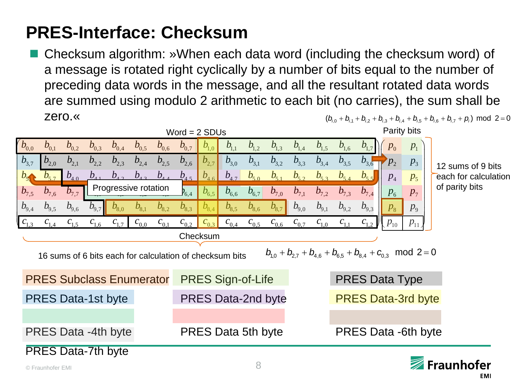## **PRES-Interface: Checksum**

 Checksum algorithm: »When each data word (including the checksum word) of a message is rotated right cyclically by a number of bits equal to the number of preceding data words in the message, and all the resultant rotated data words are summed using modulo 2 arithmetic to each bit (no carries), the sum shall be zero.«

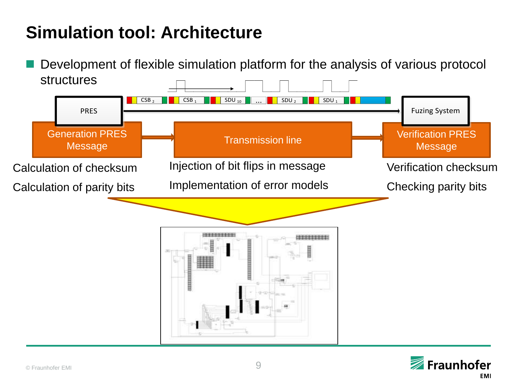#### **Simulation tool: Architecture** 11 I  $\blacksquare$

**Development of flexible simulation platform for the analysis of various protocol structures**  $\overline{\phantom{a}}$ [0142h] <sup>1</sup> <sup>0</sup> <sup>2</sup> <sup>4</sup>



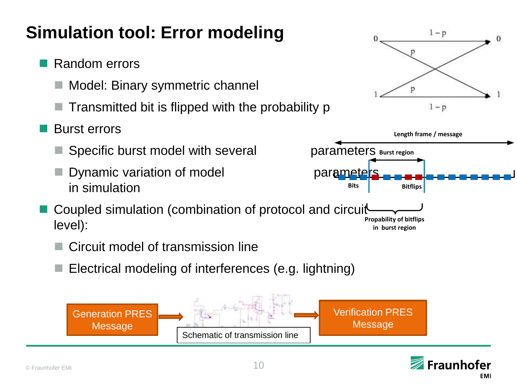# **Simulation tool: Error modeling**

- Random errors
	- Model: Binary symmetric channel
	- Transmitted bit is flipped with the probability p
- Burst errors
	- Specific burst model with several parameters Burst region
	- Dynamic variation of model examples being parameters. in simulation
- Coupled simulation (combination of protocol and circuit level): **Propability of bitflips in burst region**
	- Circuit model of transmission line
	- Electrical modeling of interferences (e.g. lightning)





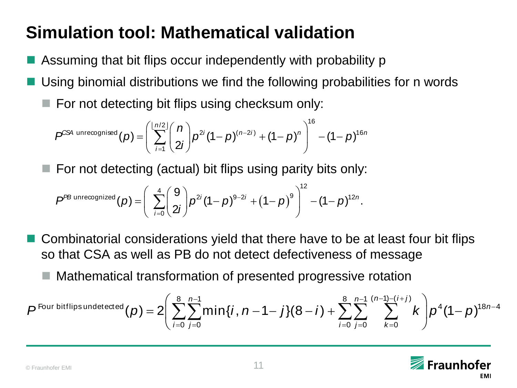## **Simulation tool: Mathematical validation**

- Assuming that bit flips occur independently with probability p
- Using binomial distributions we find the following probabilities for n words
	- $\blacksquare$  For not detecting bit flips using checksum only:

$$
P^{CS4 \text{ unrecompised}}(p) = \left(\sum_{i=1}^{\lfloor n/2 \rfloor} \binom{n}{2i} p^{2i} (1-p)^{(n-2i)} + (1-p)^n \right)^{16} - (1-p)^{16n}
$$

 $\blacksquare$  For not detecting (actual) bit flips using parity bits only:

$$
P^{\text{PB unrecompized}}(p) = \left(\sum_{i=0}^{4} {9 \choose 2i} p^{2i} (1-p)^{9-2i} + (1-p)^9 \right)^{12} - (1-p)^{12n}.
$$

- Combinatorial considerations yield that there have to be at least four bit flips so that CSA as well as PB do not detect defectiveness of message
	- Mathematical transformation of presented progressive rotation

$$
P^{\text{Four bitflips undetected}}(p) = 2 \left( \sum_{i=0}^{8} \sum_{j=0}^{n-1} \min\{i, n-1-j\}(8-i) + \sum_{i=0}^{8} \sum_{j=0}^{n-1} \sum_{k=0}^{(n-1)-(i+j)} k \right) p^4 (1-p)^{18n-4}
$$

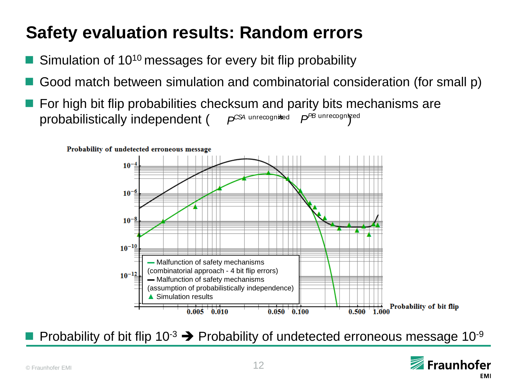## **Safety evaluation results: Random errors**

- Simulation of 10<sup>10</sup> messages for every bit flip probability
- Good match between simulation and combinatorial consideration (for small p)
- For high bit flip probabilities checksum and parity bits mechanisms are probabilistically independent (  $P^{\text{CS4}}$  unrecognised  $P^{\text{PB}}$  unrecognized



Probability of bit flip  $10^{-3}$   $\rightarrow$  Probability of undetected erroneous message  $10^{-9}$ 

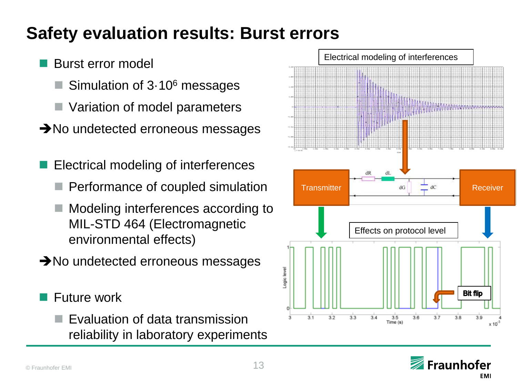## **Safety evaluation results: Burst errors**

## Burst error model

- Simulation of 3·10<sup>6</sup> messages
- Variation of model parameters
- $\rightarrow$ No undetected erroneous messages
- Electrical modeling of interferences
	- Performance of coupled simulation
	- Modeling interferences according to MIL-STD 464 (Electromagnetic environmental effects)
- $\rightarrow$ No undetected erroneous messages
- Future work
	- Evaluation of data transmission reliability in laboratory experiments



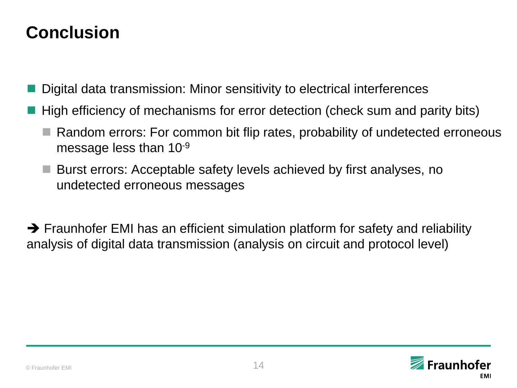## **Conclusion**

Digital data transmission: Minor sensitivity to electrical interferences

- High efficiency of mechanisms for error detection (check sum and parity bits)
	- Random errors: For common bit flip rates, probability of undetected erroneous message less than 10-9
	- Burst errors: Acceptable safety levels achieved by first analyses, no undetected erroneous messages

 $\rightarrow$  Fraunhofer EMI has an efficient simulation platform for safety and reliability analysis of digital data transmission (analysis on circuit and protocol level)

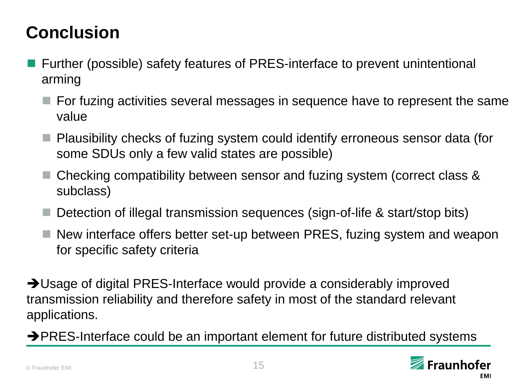## **Conclusion**

- Further (possible) safety features of PRES-interface to prevent unintentional arming
	- $\blacksquare$  For fuzing activities several messages in sequence have to represent the same value
	- Plausibility checks of fuzing system could identify erroneous sensor data (for some SDUs only a few valid states are possible)
	- Checking compatibility between sensor and fuzing system (correct class & subclass)
	- Detection of illegal transmission sequences (sign-of-life & start/stop bits)
	- New interface offers better set-up between PRES, fuzing system and weapon for specific safety criteria

→ Usage of digital PRES-Interface would provide a considerably improved transmission reliability and therefore safety in most of the standard relevant applications.

 $\rightarrow$  PRES-Interface could be an important element for future distributed systems